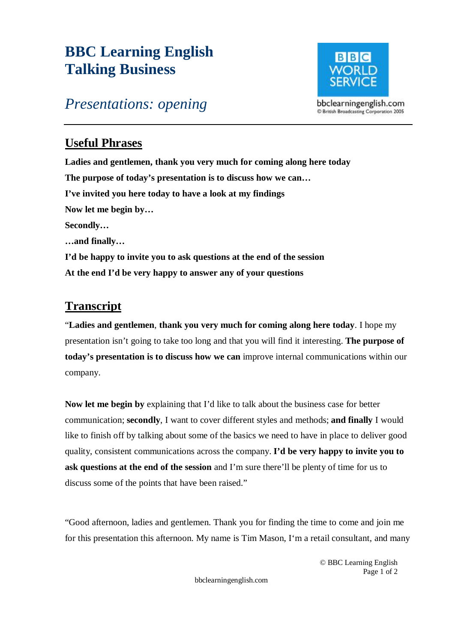## **BBC Learning English Talking Business**



## *Presentations: opening*

## **Useful Phrases**

**Ladies and gentlemen, thank you very much for coming along here today The purpose of today's presentation is to discuss how we can… I've invited you here today to have a look at my findings Now let me begin by… Secondly… …and finally… I'd be happy to invite you to ask questions at the end of the session At the end I'd be very happy to answer any of your questions** 

## **Transcript**

"**Ladies and gentlemen**, **thank you very much for coming along here today**. I hope my presentation isn't going to take too long and that you will find it interesting. **The purpose of today's presentation is to discuss how we can** improve internal communications within our company.

**Now let me begin by** explaining that I'd like to talk about the business case for better communication; **secondly**, I want to cover different styles and methods; **and finally** I would like to finish off by talking about some of the basics we need to have in place to deliver good quality, consistent communications across the company. **I'd be very happy to invite you to ask questions at the end of the session** and I'm sure there'll be plenty of time for us to discuss some of the points that have been raised."

"Good afternoon, ladies and gentlemen. Thank you for finding the time to come and join me for this presentation this afternoon. My name is Tim Mason, I'm a retail consultant, and many

> © BBC Learning English Page 1 of 2

bbclearningenglish.com